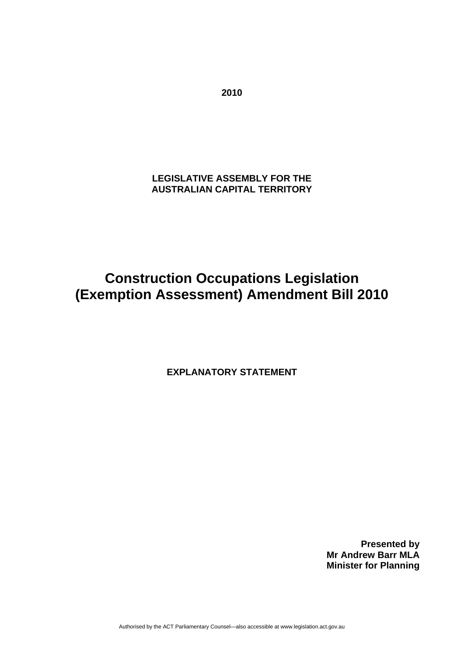**LEGISLATIVE ASSEMBLY FOR THE AUSTRALIAN CAPITAL TERRITORY** 

**Construction Occupations Legislation (Exemption Assessment) Amendment Bill 2010** 

**EXPLANATORY STATEMENT** 

**Presented by Mr Andrew Barr MLA Minister for Planning** 

Authorised by the ACT Parliamentary Counsel—also accessible at www.legislation.act.gov.au

**2010**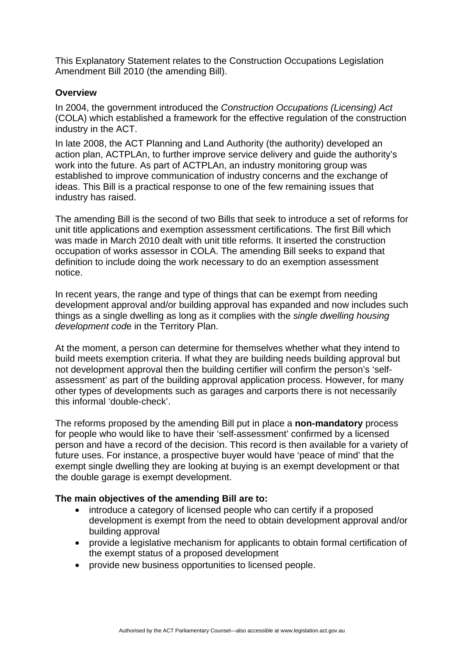This Explanatory Statement relates to the Construction Occupations Legislation Amendment Bill 2010 (the amending Bill).

### **Overview**

In 2004, the government introduced the *Construction Occupations (Licensing) Act* (COLA) which established a framework for the effective regulation of the construction industry in the ACT.

In late 2008, the ACT Planning and Land Authority (the authority) developed an action plan, ACTPLAn, to further improve service delivery and guide the authority's work into the future. As part of ACTPLAn, an industry monitoring group was established to improve communication of industry concerns and the exchange of ideas. This Bill is a practical response to one of the few remaining issues that industry has raised.

The amending Bill is the second of two Bills that seek to introduce a set of reforms for unit title applications and exemption assessment certifications. The first Bill which was made in March 2010 dealt with unit title reforms. It inserted the construction occupation of works assessor in COLA. The amending Bill seeks to expand that definition to include doing the work necessary to do an exemption assessment notice.

In recent years, the range and type of things that can be exempt from needing development approval and/or building approval has expanded and now includes such things as a single dwelling as long as it complies with the *single dwelling housing development cod*e in the Territory Plan.

At the moment, a person can determine for themselves whether what they intend to build meets exemption criteria. If what they are building needs building approval but not development approval then the building certifier will confirm the person's 'selfassessment' as part of the building approval application process. However, for many other types of developments such as garages and carports there is not necessarily this informal 'double-check'.

The reforms proposed by the amending Bill put in place a **non-mandatory** process for people who would like to have their 'self-assessment' confirmed by a licensed person and have a record of the decision. This record is then available for a variety of future uses. For instance, a prospective buyer would have 'peace of mind' that the exempt single dwelling they are looking at buying is an exempt development or that the double garage is exempt development.

### **The main objectives of the amending Bill are to:**

- introduce a category of licensed people who can certify if a proposed development is exempt from the need to obtain development approval and/or building approval
- provide a legislative mechanism for applicants to obtain formal certification of the exempt status of a proposed development
- provide new business opportunities to licensed people.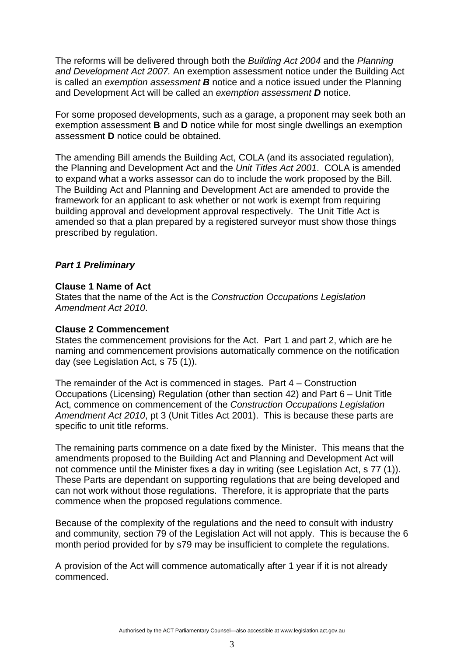The reforms will be delivered through both the *Building Act 2004* and the *Planning and Development Act 2007.* An exemption assessment notice under the Building Act is called an *exemption assessment B* notice and a notice issued under the Planning and Development Act will be called an *exemption assessment D* notice.

For some proposed developments, such as a garage, a proponent may seek both an exemption assessment **B** and **D** notice while for most single dwellings an exemption assessment **D** notice could be obtained.

The amending Bill amends the Building Act, COLA (and its associated regulation), the Planning and Development Act and the *Unit Titles Act 2001*. COLA is amended to expand what a works assessor can do to include the work proposed by the Bill. The Building Act and Planning and Development Act are amended to provide the framework for an applicant to ask whether or not work is exempt from requiring building approval and development approval respectively. The Unit Title Act is amended so that a plan prepared by a registered surveyor must show those things prescribed by regulation.

### *Part 1 Preliminary*

#### **Clause 1 Name of Act**

States that the name of the Act is the *Construction Occupations Legislation Amendment Act 2010*.

#### **Clause 2 Commencement**

States the commencement provisions for the Act. Part 1 and part 2, which are he naming and commencement provisions automatically commence on the notification day (see Legislation Act, s 75 (1)).

The remainder of the Act is commenced in stages. Part 4 – Construction Occupations (Licensing) Regulation (other than section 42) and Part 6 – Unit Title Act, commence on commencement of the *Construction Occupations Legislation Amendment Act 2010*, pt 3 (Unit Titles Act 2001). This is because these parts are specific to unit title reforms.

The remaining parts commence on a date fixed by the Minister. This means that the amendments proposed to the Building Act and Planning and Development Act will not commence until the Minister fixes a day in writing (see Legislation Act, s 77 (1)). These Parts are dependant on supporting regulations that are being developed and can not work without those regulations. Therefore, it is appropriate that the parts commence when the proposed regulations commence.

Because of the complexity of the regulations and the need to consult with industry and community, section 79 of the Legislation Act will not apply. This is because the 6 month period provided for by s79 may be insufficient to complete the regulations.

A provision of the Act will commence automatically after 1 year if it is not already commenced.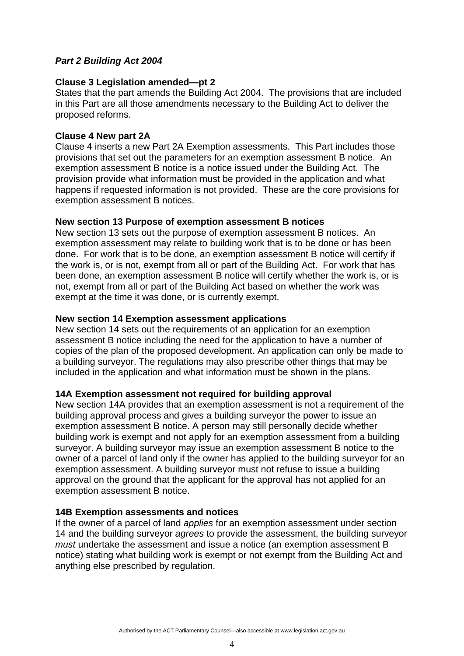# *Part 2 Building Act 2004*

### **Clause 3 Legislation amended—pt 2**

States that the part amends the Building Act 2004. The provisions that are included in this Part are all those amendments necessary to the Building Act to deliver the proposed reforms.

#### **Clause 4 New part 2A**

Clause 4 inserts a new Part 2A Exemption assessments. This Part includes those provisions that set out the parameters for an exemption assessment B notice. An exemption assessment B notice is a notice issued under the Building Act. The provision provide what information must be provided in the application and what happens if requested information is not provided. These are the core provisions for exemption assessment B notices.

#### **New section 13 Purpose of exemption assessment B notices**

New section 13 sets out the purpose of exemption assessment B notices. An exemption assessment may relate to building work that is to be done or has been done. For work that is to be done, an exemption assessment B notice will certify if the work is, or is not, exempt from all or part of the Building Act. For work that has been done, an exemption assessment B notice will certify whether the work is, or is not, exempt from all or part of the Building Act based on whether the work was exempt at the time it was done, or is currently exempt.

#### **New section 14 Exemption assessment applications**

New section 14 sets out the requirements of an application for an exemption assessment B notice including the need for the application to have a number of copies of the plan of the proposed development. An application can only be made to a building surveyor. The regulations may also prescribe other things that may be included in the application and what information must be shown in the plans.

#### **14A Exemption assessment not required for building approval**

New section 14A provides that an exemption assessment is not a requirement of the building approval process and gives a building surveyor the power to issue an exemption assessment B notice. A person may still personally decide whether building work is exempt and not apply for an exemption assessment from a building surveyor. A building surveyor may issue an exemption assessment B notice to the owner of a parcel of land only if the owner has applied to the building surveyor for an exemption assessment. A building surveyor must not refuse to issue a building approval on the ground that the applicant for the approval has not applied for an exemption assessment B notice.

#### **14B Exemption assessments and notices**

If the owner of a parcel of land *applies* for an exemption assessment under section 14 and the building surveyor *agrees* to provide the assessment, the building surveyor *must* undertake the assessment and issue a notice (an exemption assessment B notice) stating what building work is exempt or not exempt from the Building Act and anything else prescribed by regulation.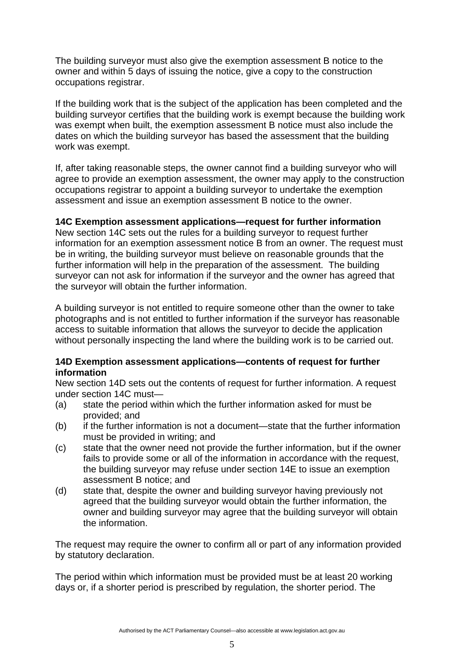The building surveyor must also give the exemption assessment B notice to the owner and within 5 days of issuing the notice, give a copy to the construction occupations registrar.

If the building work that is the subject of the application has been completed and the building surveyor certifies that the building work is exempt because the building work was exempt when built, the exemption assessment B notice must also include the dates on which the building surveyor has based the assessment that the building work was exempt.

If, after taking reasonable steps, the owner cannot find a building surveyor who will agree to provide an exemption assessment, the owner may apply to the construction occupations registrar to appoint a building surveyor to undertake the exemption assessment and issue an exemption assessment B notice to the owner.

### **14C Exemption assessment applications—request for further information**

New section 14C sets out the rules for a building surveyor to request further information for an exemption assessment notice B from an owner. The request must be in writing, the building surveyor must believe on reasonable grounds that the further information will help in the preparation of the assessment. The building surveyor can not ask for information if the surveyor and the owner has agreed that the surveyor will obtain the further information.

A building surveyor is not entitled to require someone other than the owner to take photographs and is not entitled to further information if the surveyor has reasonable access to suitable information that allows the surveyor to decide the application without personally inspecting the land where the building work is to be carried out.

### **14D Exemption assessment applications—contents of request for further information**

New section 14D sets out the contents of request for further information. A request under section 14C must—

- (a) state the period within which the further information asked for must be provided; and
- (b) if the further information is not a document—state that the further information must be provided in writing; and
- (c) state that the owner need not provide the further information, but if the owner fails to provide some or all of the information in accordance with the request, the building surveyor may refuse under section 14E to issue an exemption assessment B notice; and
- (d) state that, despite the owner and building surveyor having previously not agreed that the building surveyor would obtain the further information, the owner and building surveyor may agree that the building surveyor will obtain the information.

The request may require the owner to confirm all or part of any information provided by statutory declaration.

The period within which information must be provided must be at least 20 working days or, if a shorter period is prescribed by regulation, the shorter period. The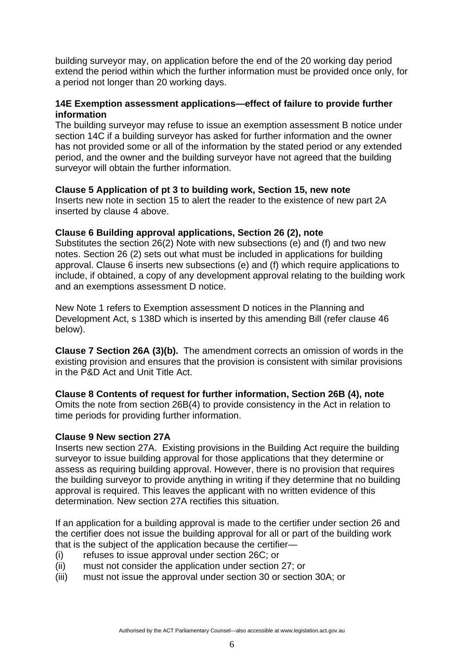building surveyor may, on application before the end of the 20 working day period extend the period within which the further information must be provided once only, for a period not longer than 20 working days.

### **14E Exemption assessment applications—effect of failure to provide further information**

The building surveyor may refuse to issue an exemption assessment B notice under section 14C if a building surveyor has asked for further information and the owner has not provided some or all of the information by the stated period or any extended period, and the owner and the building surveyor have not agreed that the building surveyor will obtain the further information.

## **Clause 5 Application of pt 3 to building work, Section 15, new note**

Inserts new note in section 15 to alert the reader to the existence of new part 2A inserted by clause 4 above.

## **Clause 6 Building approval applications, Section 26 (2), note**

Substitutes the section 26(2) Note with new subsections (e) and (f) and two new notes. Section 26 (2) sets out what must be included in applications for building approval. Clause 6 inserts new subsections (e) and (f) which require applications to include, if obtained, a copy of any development approval relating to the building work and an exemptions assessment D notice.

New Note 1 refers to Exemption assessment D notices in the Planning and Development Act, s 138D which is inserted by this amending Bill (refer clause 46 below).

**Clause 7 Section 26A (3)(b).** The amendment corrects an omission of words in the existing provision and ensures that the provision is consistent with similar provisions in the P&D Act and Unit Title Act.

#### **Clause 8 Contents of request for further information, Section 26B (4), note**  Omits the note from section 26B(4) to provide consistency in the Act in relation to time periods for providing further information.

### **Clause 9 New section 27A**

Inserts new section 27A. Existing provisions in the Building Act require the building surveyor to issue building approval for those applications that they determine or assess as requiring building approval. However, there is no provision that requires the building surveyor to provide anything in writing if they determine that no building approval is required. This leaves the applicant with no written evidence of this determination. New section 27A rectifies this situation.

If an application for a building approval is made to the certifier under section 26 and the certifier does not issue the building approval for all or part of the building work that is the subject of the application because the certifier—

- (i) refuses to issue approval under section 26C; or
- (ii) must not consider the application under section 27; or
- (iii) must not issue the approval under section 30 or section 30A; or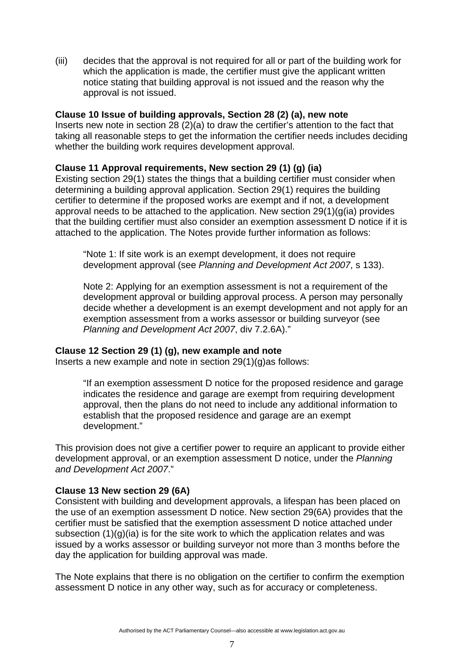(iii) decides that the approval is not required for all or part of the building work for which the application is made, the certifier must give the applicant written notice stating that building approval is not issued and the reason why the approval is not issued.

### **Clause 10 Issue of building approvals, Section 28 (2) (a), new note**

Inserts new note in section 28 (2)(a) to draw the certifier's attention to the fact that taking all reasonable steps to get the information the certifier needs includes deciding whether the building work requires development approval.

## **Clause 11 Approval requirements, New section 29 (1) (g) (ia)**

Existing section 29(1) states the things that a building certifier must consider when determining a building approval application. Section 29(1) requires the building certifier to determine if the proposed works are exempt and if not, a development approval needs to be attached to the application. New section 29(1)(g(ia) provides that the building certifier must also consider an exemption assessment D notice if it is attached to the application. The Notes provide further information as follows:

"Note 1: If site work is an exempt development, it does not require development approval (see *Planning and Development Act 2007*, s 133).

Note 2: Applying for an exemption assessment is not a requirement of the development approval or building approval process. A person may personally decide whether a development is an exempt development and not apply for an exemption assessment from a works assessor or building surveyor (see *Planning and Development Act 2007*, div 7.2.6A)."

### **Clause 12 Section 29 (1) (g), new example and note**

Inserts a new example and note in section 29(1)(g)as follows:

"If an exemption assessment D notice for the proposed residence and garage indicates the residence and garage are exempt from requiring development approval, then the plans do not need to include any additional information to establish that the proposed residence and garage are an exempt development."

This provision does not give a certifier power to require an applicant to provide either development approval, or an exemption assessment D notice, under the *Planning and Development Act 2007*."

### **Clause 13 New section 29 (6A)**

Consistent with building and development approvals, a lifespan has been placed on the use of an exemption assessment D notice. New section 29(6A) provides that the certifier must be satisfied that the exemption assessment D notice attached under subsection  $(1)(q)(ia)$  is for the site work to which the application relates and was issued by a works assessor or building surveyor not more than 3 months before the day the application for building approval was made.

The Note explains that there is no obligation on the certifier to confirm the exemption assessment D notice in any other way, such as for accuracy or completeness.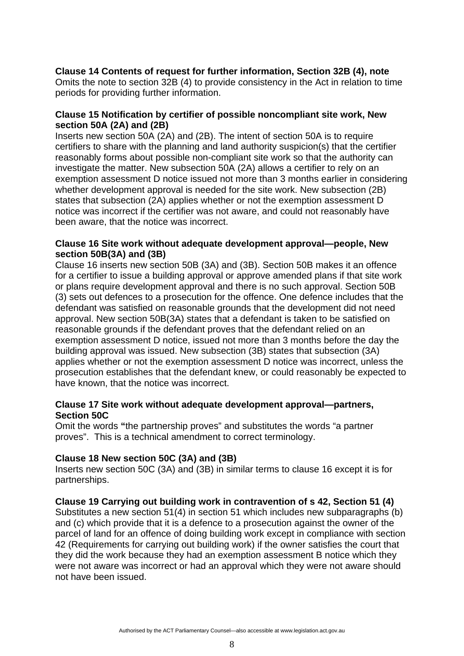# **Clause 14 Contents of request for further information, Section 32B (4), note**

Omits the note to section 32B (4) to provide consistency in the Act in relation to time periods for providing further information.

#### **Clause 15 Notification by certifier of possible noncompliant site work, New section 50A (2A) and (2B)**

Inserts new section 50A (2A) and (2B). The intent of section 50A is to require certifiers to share with the planning and land authority suspicion(s) that the certifier reasonably forms about possible non-compliant site work so that the authority can investigate the matter. New subsection 50A (2A) allows a certifier to rely on an exemption assessment D notice issued not more than 3 months earlier in considering whether development approval is needed for the site work. New subsection (2B) states that subsection (2A) applies whether or not the exemption assessment D notice was incorrect if the certifier was not aware, and could not reasonably have been aware, that the notice was incorrect.

### **Clause 16 Site work without adequate development approval—people, New section 50B(3A) and (3B)**

Clause 16 inserts new section 50B (3A) and (3B). Section 50B makes it an offence for a certifier to issue a building approval or approve amended plans if that site work or plans require development approval and there is no such approval. Section 50B (3) sets out defences to a prosecution for the offence. One defence includes that the defendant was satisfied on reasonable grounds that the development did not need approval. New section 50B(3A) states that a defendant is taken to be satisfied on reasonable grounds if the defendant proves that the defendant relied on an exemption assessment D notice, issued not more than 3 months before the day the building approval was issued. New subsection (3B) states that subsection (3A) applies whether or not the exemption assessment D notice was incorrect, unless the prosecution establishes that the defendant knew, or could reasonably be expected to have known, that the notice was incorrect.

### **Clause 17 Site work without adequate development approval—partners, Section 50C**

Omit the words **"**the partnership proves" and substitutes the words "a partner proves". This is a technical amendment to correct terminology.

### **Clause 18 New section 50C (3A) and (3B)**

Inserts new section 50C (3A) and (3B) in similar terms to clause 16 except it is for partnerships.

# **Clause 19 Carrying out building work in contravention of s 42, Section 51 (4)**

Substitutes a new section 51(4) in section 51 which includes new subparagraphs (b) and (c) which provide that it is a defence to a prosecution against the owner of the parcel of land for an offence of doing building work except in compliance with section 42 (Requirements for carrying out building work) if the owner satisfies the court that they did the work because they had an exemption assessment B notice which they were not aware was incorrect or had an approval which they were not aware should not have been issued.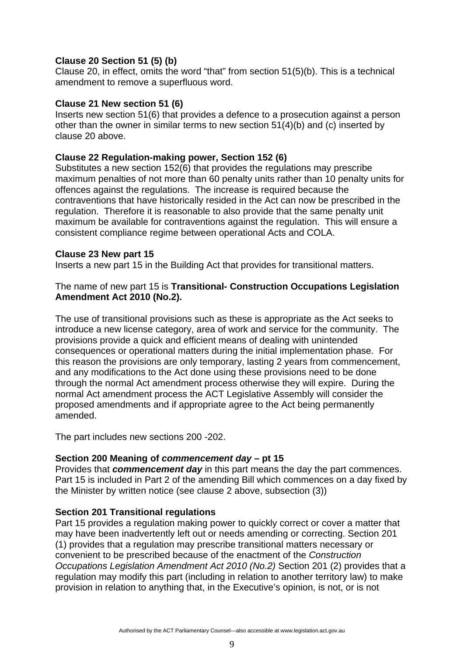# **Clause 20 Section 51 (5) (b)**

Clause 20, in effect, omits the word "that" from section 51(5)(b). This is a technical amendment to remove a superfluous word.

### **Clause 21 New section 51 (6)**

Inserts new section 51(6) that provides a defence to a prosecution against a person other than the owner in similar terms to new section 51(4)(b) and (c) inserted by clause 20 above.

# **Clause 22 Regulation-making power, Section 152 (6)**

Substitutes a new section 152(6) that provides the regulations may prescribe maximum penalties of not more than 60 penalty units rather than 10 penalty units for offences against the regulations. The increase is required because the contraventions that have historically resided in the Act can now be prescribed in the regulation. Therefore it is reasonable to also provide that the same penalty unit maximum be available for contraventions against the regulation. This will ensure a consistent compliance regime between operational Acts and COLA.

## **Clause 23 New part 15**

Inserts a new part 15 in the Building Act that provides for transitional matters.

### The name of new part 15 is **Transitional- Construction Occupations Legislation Amendment Act 2010 (No.2).**

The use of transitional provisions such as these is appropriate as the Act seeks to introduce a new license category, area of work and service for the community. The provisions provide a quick and efficient means of dealing with unintended consequences or operational matters during the initial implementation phase. For this reason the provisions are only temporary, lasting 2 years from commencement, and any modifications to the Act done using these provisions need to be done through the normal Act amendment process otherwise they will expire. During the normal Act amendment process the ACT Legislative Assembly will consider the proposed amendments and if appropriate agree to the Act being permanently amended.

The part includes new sections 200 -202.

### **Section 200 Meaning of** *commencement day* **– pt 15**

Provides that *commencement day* in this part means the day the part commences. Part 15 is included in Part 2 of the amending Bill which commences on a day fixed by the Minister by written notice (see clause 2 above, subsection (3))

# **Section 201 Transitional regulations**

Part 15 provides a regulation making power to quickly correct or cover a matter that may have been inadvertently left out or needs amending or correcting. Section 201 (1) provides that a regulation may prescribe transitional matters necessary or convenient to be prescribed because of the enactment of the *Construction Occupations Legislation Amendment Act 2010 (No.2)* Section 201 (2) provides that a regulation may modify this part (including in relation to another territory law) to make provision in relation to anything that, in the Executive's opinion, is not, or is not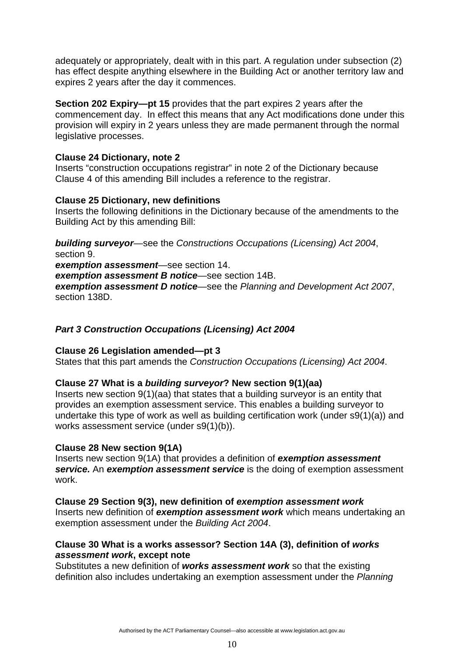adequately or appropriately, dealt with in this part. A regulation under subsection (2) has effect despite anything elsewhere in the Building Act or another territory law and expires 2 years after the day it commences.

**Section 202 Expiry—pt 15** provides that the part expires 2 years after the commencement day. In effect this means that any Act modifications done under this provision will expiry in 2 years unless they are made permanent through the normal legislative processes.

### **Clause 24 Dictionary, note 2**

Inserts "construction occupations registrar" in note 2 of the Dictionary because Clause 4 of this amending Bill includes a reference to the registrar.

## **Clause 25 Dictionary, new definitions**

Inserts the following definitions in the Dictionary because of the amendments to the Building Act by this amending Bill:

*building surveyor*—see the *Constructions Occupations (Licensing) Act 2004*, section 9. *exemption assessment*—see section 14. *exemption assessment B notice*—see section 14B. *exemption assessment D notice*—see the *Planning and Development Act 2007*, section 138D.

# *Part 3 Construction Occupations (Licensing) Act 2004*

### **Clause 26 Legislation amended—pt 3**

States that this part amends the *Construction Occupations (Licensing) Act 2004*.

# **Clause 27 What is a** *building surveyor***? New section 9(1)(aa)**

Inserts new section 9(1)(aa) that states that a building surveyor is an entity that provides an exemption assessment service. This enables a building surveyor to undertake this type of work as well as building certification work (under s9(1)(a)) and works assessment service (under s9(1)(b)).

# **Clause 28 New section 9(1A)**

Inserts new section 9(1A) that provides a definition of *exemption assessment*  **service.** An exemption assessment service is the doing of exemption assessment work.

**Clause 29 Section 9(3), new definition of** *exemption assessment work*  Inserts new definition of *exemption assessment work* which means undertaking an exemption assessment under the *Building Act 2004*.

### **Clause 30 What is a works assessor? Section 14A (3), definition of** *works assessment work***, except note**

Substitutes a new definition of *works assessment work* so that the existing definition also includes undertaking an exemption assessment under the *Planning*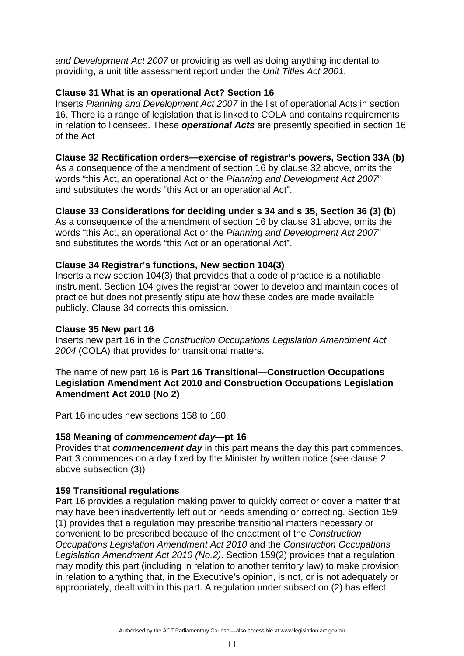*and Development Act 2007* or providing as well as doing anything incidental to providing, a unit title assessment report under the *Unit Titles Act 2001*.

## **Clause 31 What is an operational Act? Section 16**

Inserts *Planning and Development Act 2007* in the list of operational Acts in section 16. There is a range of legislation that is linked to COLA and contains requirements in relation to licensees. These *operational Acts* are presently specified in section 16 of the Act

### **Clause 32 Rectification orders—exercise of registrar's powers, Section 33A (b)**

As a consequence of the amendment of section 16 by clause 32 above, omits the words "this Act, an operational Act or the *Planning and Development Act 2007*" and substitutes the words "this Act or an operational Act".

## **Clause 33 Considerations for deciding under s 34 and s 35, Section 36 (3) (b)**

As a consequence of the amendment of section 16 by clause 31 above, omits the words "this Act, an operational Act or the *Planning and Development Act 2007*" and substitutes the words "this Act or an operational Act".

## **Clause 34 Registrar's functions, New section 104(3)**

Inserts a new section 104(3) that provides that a code of practice is a notifiable instrument. Section 104 gives the registrar power to develop and maintain codes of practice but does not presently stipulate how these codes are made available publicly. Clause 34 corrects this omission.

### **Clause 35 New part 16**

Inserts new part 16 in the *Construction Occupations Legislation Amendment Act 2004* (COLA) that provides for transitional matters.

#### The name of new part 16 is **Part 16 Transitional—Construction Occupations Legislation Amendment Act 2010 and Construction Occupations Legislation Amendment Act 2010 (No 2)**

Part 16 includes new sections 158 to 160.

### **158 Meaning of** *commencement day***—pt 16**

Provides that *commencement day* in this part means the day this part commences. Part 3 commences on a day fixed by the Minister by written notice (see clause 2 above subsection (3))

### **159 Transitional regulations**

Part 16 provides a regulation making power to quickly correct or cover a matter that may have been inadvertently left out or needs amending or correcting. Section 159 (1) provides that a regulation may prescribe transitional matters necessary or convenient to be prescribed because of the enactment of the *Construction Occupations Legislation Amendment Act 2010* and the *Construction Occupations Legislation Amendment Act 2010 (No.2)*. Section 159(2) provides that a regulation may modify this part (including in relation to another territory law) to make provision in relation to anything that, in the Executive's opinion, is not, or is not adequately or appropriately, dealt with in this part. A regulation under subsection (2) has effect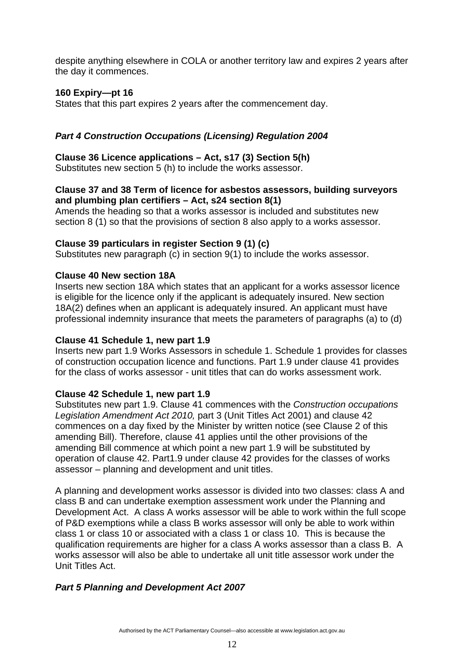despite anything elsewhere in COLA or another territory law and expires 2 years after the day it commences.

## **160 Expiry—pt 16**

States that this part expires 2 years after the commencement day.

# *Part 4 Construction Occupations (Licensing) Regulation 2004*

#### **Clause 36 Licence applications – Act, s17 (3) Section 5(h)**

Substitutes new section 5 (h) to include the works assessor.

### **Clause 37 and 38 Term of licence for asbestos assessors, building surveyors and plumbing plan certifiers – Act, s24 section 8(1)**

Amends the heading so that a works assessor is included and substitutes new section 8 (1) so that the provisions of section 8 also apply to a works assessor.

### **Clause 39 particulars in register Section 9 (1) (c)**

Substitutes new paragraph (c) in section 9(1) to include the works assessor.

### **Clause 40 New section 18A**

Inserts new section 18A which states that an applicant for a works assessor licence is eligible for the licence only if the applicant is adequately insured. New section 18A(2) defines when an applicant is adequately insured. An applicant must have professional indemnity insurance that meets the parameters of paragraphs (a) to (d)

### **Clause 41 Schedule 1, new part 1.9**

Inserts new part 1.9 Works Assessors in schedule 1. Schedule 1 provides for classes of construction occupation licence and functions. Part 1.9 under clause 41 provides for the class of works assessor - unit titles that can do works assessment work.

### **Clause 42 Schedule 1, new part 1.9**

Substitutes new part 1.9. Clause 41 commences with the *Construction occupations Legislation Amendment Act 2010,* part 3 (Unit Titles Act 2001) and clause 42 commences on a day fixed by the Minister by written notice (see Clause 2 of this amending Bill). Therefore, clause 41 applies until the other provisions of the amending Bill commence at which point a new part 1.9 will be substituted by operation of clause 42. Part1.9 under clause 42 provides for the classes of works assessor – planning and development and unit titles.

A planning and development works assessor is divided into two classes: class A and class B and can undertake exemption assessment work under the Planning and Development Act. A class A works assessor will be able to work within the full scope of P&D exemptions while a class B works assessor will only be able to work within class 1 or class 10 or associated with a class 1 or class 10. This is because the qualification requirements are higher for a class A works assessor than a class B. A works assessor will also be able to undertake all unit title assessor work under the Unit Titles Act.

### *Part 5 Planning and Development Act 2007*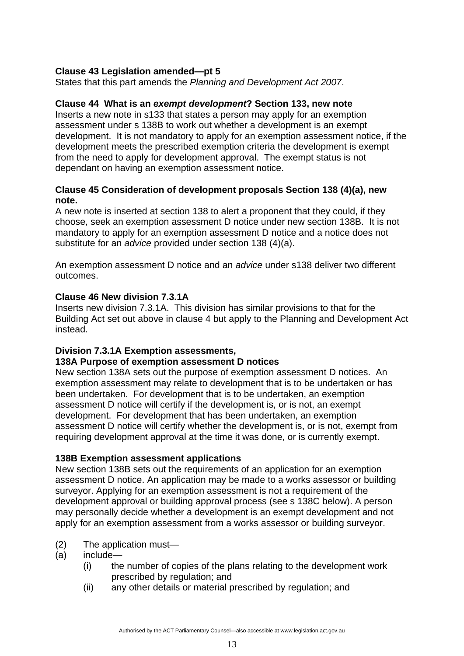# **Clause 43 Legislation amended—pt 5**

States that this part amends the *Planning and Development Act 2007*.

#### **Clause 44 What is an** *exempt development***? Section 133, new note**

Inserts a new note in s133 that states a person may apply for an exemption assessment under s 138B to work out whether a development is an exempt development. It is not mandatory to apply for an exemption assessment notice, if the development meets the prescribed exemption criteria the development is exempt from the need to apply for development approval. The exempt status is not dependant on having an exemption assessment notice.

### **Clause 45 Consideration of development proposals Section 138 (4)(a), new note.**

A new note is inserted at section 138 to alert a proponent that they could, if they choose, seek an exemption assessment D notice under new section 138B. It is not mandatory to apply for an exemption assessment D notice and a notice does not substitute for an *advice* provided under section 138 (4)(a).

An exemption assessment D notice and an *advice* under s138 deliver two different outcomes.

### **Clause 46 New division 7.3.1A**

Inserts new division 7.3.1A. This division has similar provisions to that for the Building Act set out above in clause 4 but apply to the Planning and Development Act instead.

### **Division 7.3.1A Exemption assessments,**

### **138A Purpose of exemption assessment D notices**

New section 138A sets out the purpose of exemption assessment D notices. An exemption assessment may relate to development that is to be undertaken or has been undertaken. For development that is to be undertaken, an exemption assessment D notice will certify if the development is, or is not, an exempt development. For development that has been undertaken, an exemption assessment D notice will certify whether the development is, or is not, exempt from requiring development approval at the time it was done, or is currently exempt.

### **138B Exemption assessment applications**

New section 138B sets out the requirements of an application for an exemption assessment D notice. An application may be made to a works assessor or building surveyor. Applying for an exemption assessment is not a requirement of the development approval or building approval process (see s 138C below). A person may personally decide whether a development is an exempt development and not apply for an exemption assessment from a works assessor or building surveyor.

- (2) The application must—
- (a) include—
	- (i) the number of copies of the plans relating to the development work prescribed by regulation; and
	- (ii) any other details or material prescribed by regulation; and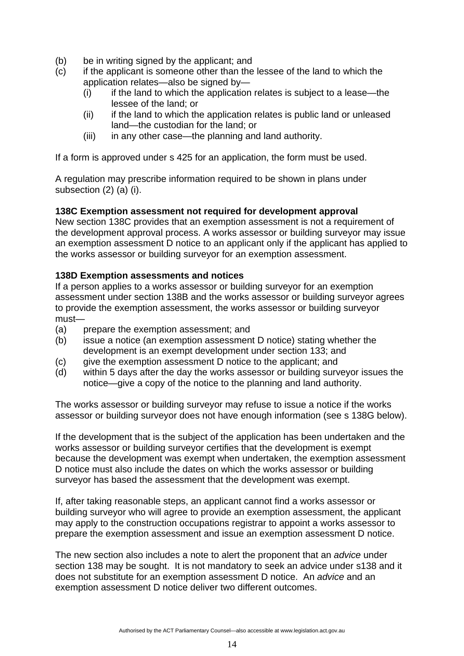- (b) be in writing signed by the applicant; and
- (c) if the applicant is someone other than the lessee of the land to which the application relates—also be signed by—
	- $(i)$  if the land to which the application relates is subject to a lease—the lessee of the land; or
	- (ii) if the land to which the application relates is public land or unleased land—the custodian for the land; or
	- (iii) in any other case—the planning and land authority.

If a form is approved under s 425 for an application, the form must be used.

A regulation may prescribe information required to be shown in plans under subsection (2) (a) (i).

## **138C Exemption assessment not required for development approval**

New section 138C provides that an exemption assessment is not a requirement of the development approval process. A works assessor or building surveyor may issue an exemption assessment D notice to an applicant only if the applicant has applied to the works assessor or building surveyor for an exemption assessment.

## **138D Exemption assessments and notices**

If a person applies to a works assessor or building surveyor for an exemption assessment under section 138B and the works assessor or building surveyor agrees to provide the exemption assessment, the works assessor or building surveyor must—

- (a) prepare the exemption assessment; and
- (b) issue a notice (an exemption assessment D notice) stating whether the development is an exempt development under section 133; and
- (c) give the exemption assessment D notice to the applicant; and
- (d) within 5 days after the day the works assessor or building surveyor issues the notice—give a copy of the notice to the planning and land authority.

The works assessor or building surveyor may refuse to issue a notice if the works assessor or building surveyor does not have enough information (see s 138G below).

If the development that is the subject of the application has been undertaken and the works assessor or building surveyor certifies that the development is exempt because the development was exempt when undertaken, the exemption assessment D notice must also include the dates on which the works assessor or building surveyor has based the assessment that the development was exempt.

If, after taking reasonable steps, an applicant cannot find a works assessor or building surveyor who will agree to provide an exemption assessment, the applicant may apply to the construction occupations registrar to appoint a works assessor to prepare the exemption assessment and issue an exemption assessment D notice.

The new section also includes a note to alert the proponent that an *advice* under section 138 may be sought. It is not mandatory to seek an advice under s138 and it does not substitute for an exemption assessment D notice. An *advice* and an exemption assessment D notice deliver two different outcomes.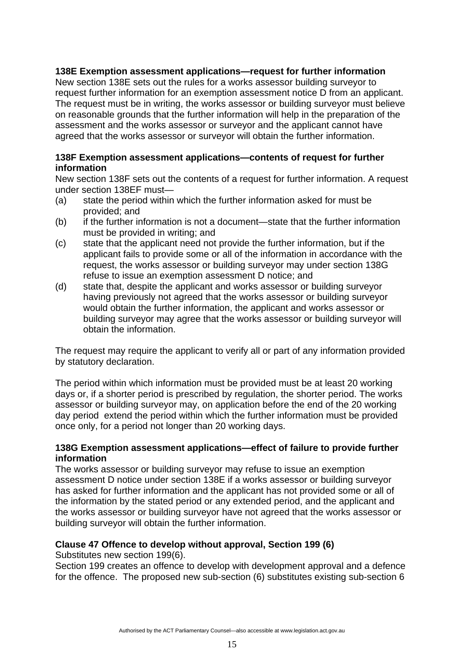## **138E Exemption assessment applications—request for further information**

New section 138E sets out the rules for a works assessor building surveyor to request further information for an exemption assessment notice D from an applicant. The request must be in writing, the works assessor or building surveyor must believe on reasonable grounds that the further information will help in the preparation of the assessment and the works assessor or surveyor and the applicant cannot have agreed that the works assessor or surveyor will obtain the further information.

#### **138F Exemption assessment applications—contents of request for further information**

New section 138F sets out the contents of a request for further information. A request under section 138EF must—

- (a) state the period within which the further information asked for must be provided; and
- (b) if the further information is not a document—state that the further information must be provided in writing; and
- (c) state that the applicant need not provide the further information, but if the applicant fails to provide some or all of the information in accordance with the request, the works assessor or building surveyor may under section 138G refuse to issue an exemption assessment D notice; and
- (d) state that, despite the applicant and works assessor or building surveyor having previously not agreed that the works assessor or building surveyor would obtain the further information, the applicant and works assessor or building surveyor may agree that the works assessor or building surveyor will obtain the information.

The request may require the applicant to verify all or part of any information provided by statutory declaration.

The period within which information must be provided must be at least 20 working days or, if a shorter period is prescribed by regulation, the shorter period. The works assessor or building surveyor may, on application before the end of the 20 working day period extend the period within which the further information must be provided once only, for a period not longer than 20 working days.

#### **138G Exemption assessment applications—effect of failure to provide further information**

The works assessor or building surveyor may refuse to issue an exemption assessment D notice under section 138E if a works assessor or building surveyor has asked for further information and the applicant has not provided some or all of the information by the stated period or any extended period, and the applicant and the works assessor or building surveyor have not agreed that the works assessor or building surveyor will obtain the further information.

# **Clause 47 Offence to develop without approval, Section 199 (6)**

Substitutes new section 199(6).

Section 199 creates an offence to develop with development approval and a defence for the offence. The proposed new sub-section (6) substitutes existing sub-section 6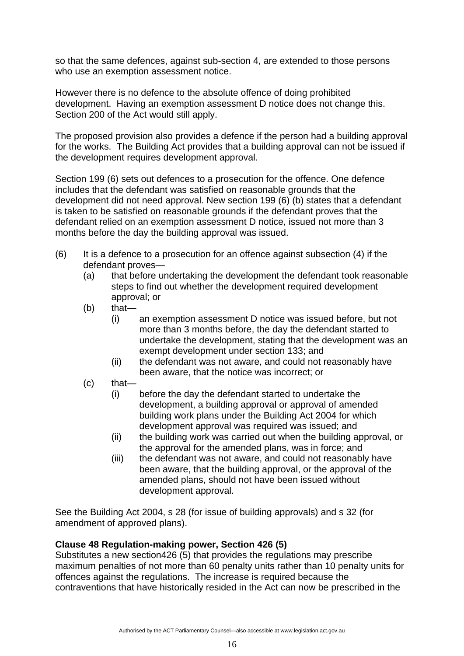so that the same defences, against sub-section 4, are extended to those persons who use an exemption assessment notice.

However there is no defence to the absolute offence of doing prohibited development. Having an exemption assessment D notice does not change this. Section 200 of the Act would still apply.

The proposed provision also provides a defence if the person had a building approval for the works. The Building Act provides that a building approval can not be issued if the development requires development approval.

Section 199 (6) sets out defences to a prosecution for the offence. One defence includes that the defendant was satisfied on reasonable grounds that the development did not need approval. New section 199 (6) (b) states that a defendant is taken to be satisfied on reasonable grounds if the defendant proves that the defendant relied on an exemption assessment D notice, issued not more than 3 months before the day the building approval was issued.

- $(6)$  It is a defence to a prosecution for an offence against subsection  $(4)$  if the defendant proves—
	- (a) that before undertaking the development the defendant took reasonable steps to find out whether the development required development approval; or
	- (b) that—
		- (i) an exemption assessment D notice was issued before, but not more than 3 months before, the day the defendant started to undertake the development, stating that the development was an exempt development under section 133; and
		- (ii) the defendant was not aware, and could not reasonably have been aware, that the notice was incorrect; or
	- (c) that—
		- (i) before the day the defendant started to undertake the development, a building approval or approval of amended building work plans under the Building Act 2004 for which development approval was required was issued; and
		- (ii) the building work was carried out when the building approval, or the approval for the amended plans, was in force; and
		- (iii) the defendant was not aware, and could not reasonably have been aware, that the building approval, or the approval of the amended plans, should not have been issued without development approval.

See the Building Act 2004, s 28 (for issue of building approvals) and s 32 (for amendment of approved plans).

# **Clause 48 Regulation-making power, Section 426 (5)**

Substitutes a new section426 (5) that provides the regulations may prescribe maximum penalties of not more than 60 penalty units rather than 10 penalty units for offences against the regulations. The increase is required because the contraventions that have historically resided in the Act can now be prescribed in the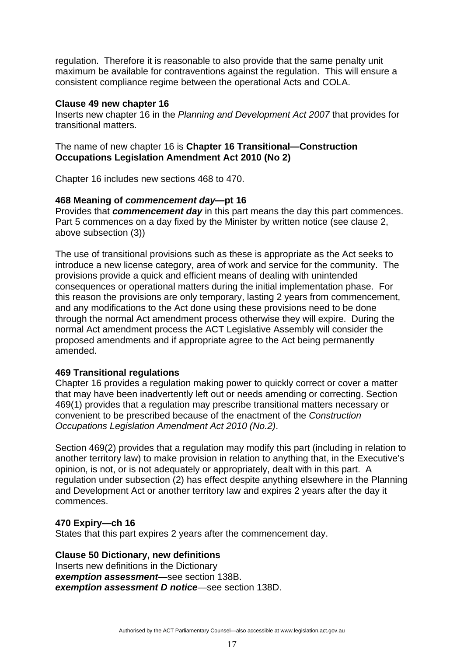regulation. Therefore it is reasonable to also provide that the same penalty unit maximum be available for contraventions against the regulation. This will ensure a consistent compliance regime between the operational Acts and COLA.

#### **Clause 49 new chapter 16**

Inserts new chapter 16 in the *Planning and Development Act 2007* that provides for transitional matters.

### The name of new chapter 16 is **Chapter 16 Transitional—Construction Occupations Legislation Amendment Act 2010 (No 2)**

Chapter 16 includes new sections 468 to 470.

### **468 Meaning of** *commencement day***—pt 16**

Provides that *commencement day* in this part means the day this part commences. Part 5 commences on a day fixed by the Minister by written notice (see clause 2, above subsection (3))

The use of transitional provisions such as these is appropriate as the Act seeks to introduce a new license category, area of work and service for the community. The provisions provide a quick and efficient means of dealing with unintended consequences or operational matters during the initial implementation phase. For this reason the provisions are only temporary, lasting 2 years from commencement, and any modifications to the Act done using these provisions need to be done through the normal Act amendment process otherwise they will expire. During the normal Act amendment process the ACT Legislative Assembly will consider the proposed amendments and if appropriate agree to the Act being permanently amended.

### **469 Transitional regulations**

Chapter 16 provides a regulation making power to quickly correct or cover a matter that may have been inadvertently left out or needs amending or correcting. Section 469(1) provides that a regulation may prescribe transitional matters necessary or convenient to be prescribed because of the enactment of the *Construction Occupations Legislation Amendment Act 2010 (No.2)*.

Section 469(2) provides that a regulation may modify this part (including in relation to another territory law) to make provision in relation to anything that, in the Executive's opinion, is not, or is not adequately or appropriately, dealt with in this part. A regulation under subsection (2) has effect despite anything elsewhere in the Planning and Development Act or another territory law and expires 2 years after the day it commences.

### **470 Expiry—ch 16**

States that this part expires 2 years after the commencement day.

### **Clause 50 Dictionary, new definitions**

Inserts new definitions in the Dictionary *exemption assessment*—see section 138B. *exemption assessment D notice*—see section 138D.